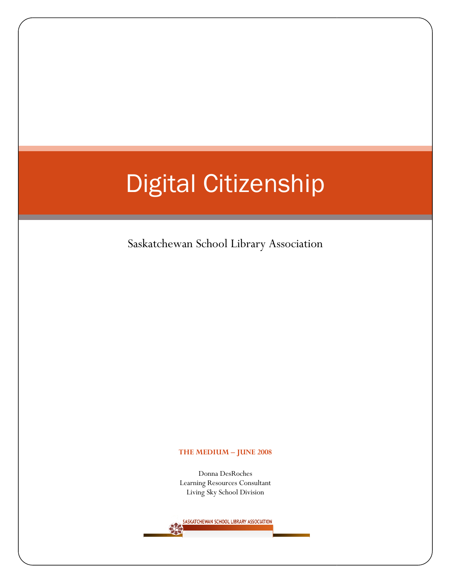# Digital Citizenship Digital Citizenship

Saskatchewan School Library Association

### THE MEDIUM – JUNE 2008

Donna DesRoches Learning Resources Consultant Living Sky School Division

SASKATCHEWAN SCHOOL LIBRARY ASSOCIATION **AK**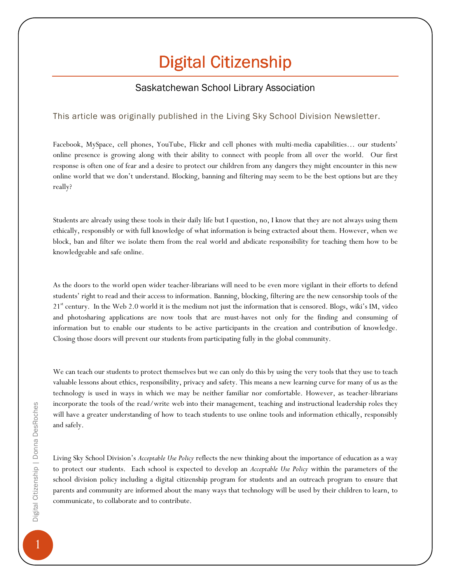# Digital Citizenship

# Saskatchewan School Library Association

## This article was originally published in the Living Sky School Division Newsletter.

Facebook, MySpace, cell phones, YouTube, Flickr and cell phones with multi-media capabilities… our students' online presence is growing along with their ability to connect with people from all over the world. Our first response is often one of fear and a desire to protect our children from any dangers they might encounter in this new online world that we don't understand. Blocking, banning and filtering may seem to be the best options but are they really?

Students are already using these tools in their daily life but I question, no, I know that they are not always using them ethically, responsibly or with full knowledge of what information is being extracted about them. However, when we block, ban and filter we isolate them from the real world and abdicate responsibility for teaching them how to be knowledgeable and safe online.

As the doors to the world open wider teacher-librarians will need to be even more vigilant in their efforts to defend students' right to read and their access to information. Banning, blocking, filtering are the new censorship tools of the  $21<sup>st</sup>$  century. In the Web 2.0 world it is the medium not just the information that is censored. Blogs, wiki's IM, video and photosharing applications are now tools that are must-haves not only for the finding and consuming of information but to enable our students to be active participants in the creation and contribution of knowledge. Closing those doors will prevent our students from participating fully in the global community.

We can teach our students to protect themselves but we can only do this by using the very tools that they use to teach valuable lessons about ethics, responsibility, privacy and safety. This means a new learning curve for many of us as the technology is used in ways in which we may be neither familiar nor comfortable. However, as teacher-librarians incorporate the tools of the read/write web into their management, teaching and instructional leadership roles they will have a greater understanding of how to teach students to use online tools and information ethically, responsibly and safely.

Living Sky School Division's Acceptable Use Policy reflects the new thinking about the importance of education as a way to protect our students. Each school is expected to develop an Acceptable Use Policy within the parameters of the school division policy including a digital citizenship program for students and an outreach program to ensure that parents and community are informed about the many ways that technology will be used by their children to learn, to communicate, to collaborate and to contribute.